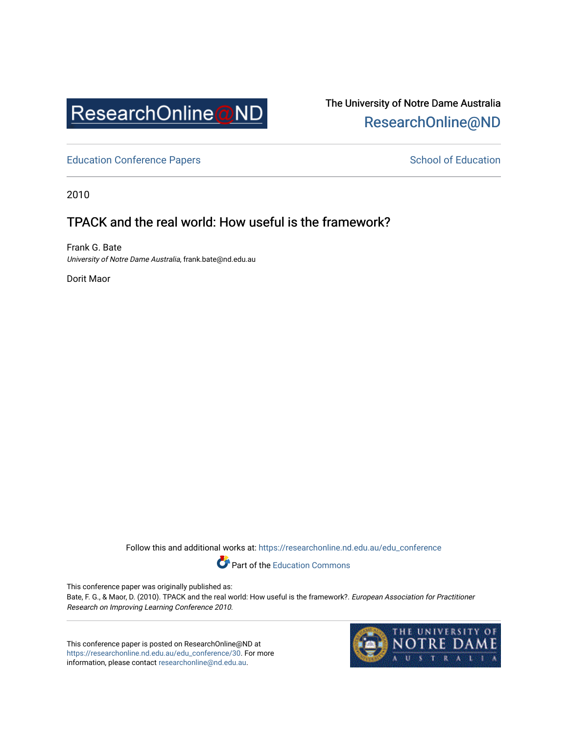

# The University of Notre Dame Australia [ResearchOnline@ND](https://researchonline.nd.edu.au/)

[Education Conference Papers](https://researchonline.nd.edu.au/edu_conference) **School of Education** School of Education

2010

## TPACK and the real world: How useful is the framework?

Frank G. Bate University of Notre Dame Australia, frank.bate@nd.edu.au

Dorit Maor

Follow this and additional works at: [https://researchonline.nd.edu.au/edu\\_conference](https://researchonline.nd.edu.au/edu_conference?utm_source=researchonline.nd.edu.au%2Fedu_conference%2F30&utm_medium=PDF&utm_campaign=PDFCoverPages)

Part of the [Education Commons](http://network.bepress.com/hgg/discipline/784?utm_source=researchonline.nd.edu.au%2Fedu_conference%2F30&utm_medium=PDF&utm_campaign=PDFCoverPages) 

This conference paper was originally published as:

Bate, F. G., & Maor, D. (2010). TPACK and the real world: How useful is the framework?. European Association for Practitioner Research on Improving Learning Conference 2010.

This conference paper is posted on ResearchOnline@ND at [https://researchonline.nd.edu.au/edu\\_conference/30.](https://researchonline.nd.edu.au/edu_conference/30) For more information, please contact [researchonline@nd.edu.au.](mailto:researchonline@nd.edu.au)

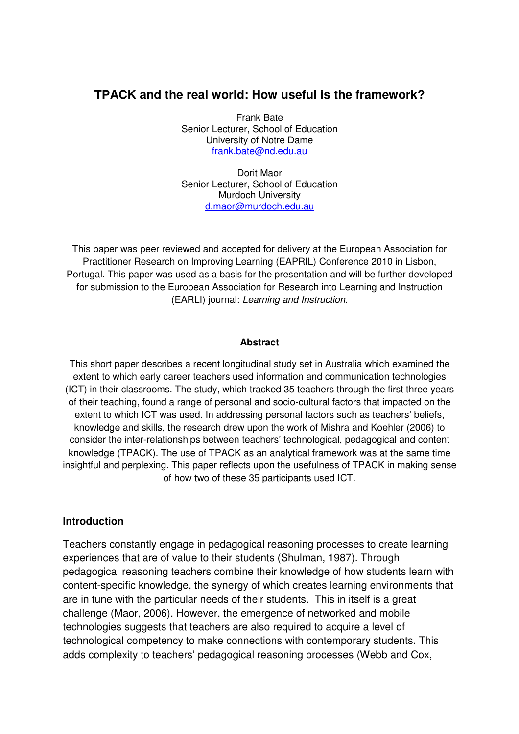### **TPACK and the real world: How useful is the framework?**

Frank Bate Senior Lecturer, School of Education University of Notre Dame frank.bate@nd.edu.au

Dorit Maor Senior Lecturer, School of Education Murdoch University d.maor@murdoch.edu.au

This paper was peer reviewed and accepted for delivery at the European Association for Practitioner Research on Improving Learning (EAPRIL) Conference 2010 in Lisbon, Portugal. This paper was used as a basis for the presentation and will be further developed for submission to the European Association for Research into Learning and Instruction (EARLI) journal: Learning and Instruction.

#### **Abstract**

This short paper describes a recent longitudinal study set in Australia which examined the extent to which early career teachers used information and communication technologies (ICT) in their classrooms. The study, which tracked 35 teachers through the first three years of their teaching, found a range of personal and socio-cultural factors that impacted on the extent to which ICT was used. In addressing personal factors such as teachers' beliefs, knowledge and skills, the research drew upon the work of Mishra and Koehler (2006) to consider the inter-relationships between teachers' technological, pedagogical and content knowledge (TPACK). The use of TPACK as an analytical framework was at the same time insightful and perplexing. This paper reflects upon the usefulness of TPACK in making sense of how two of these 35 participants used ICT.

#### **Introduction**

Teachers constantly engage in pedagogical reasoning processes to create learning experiences that are of value to their students (Shulman, 1987). Through pedagogical reasoning teachers combine their knowledge of how students learn with content-specific knowledge, the synergy of which creates learning environments that are in tune with the particular needs of their students. This in itself is a great challenge (Maor, 2006). However, the emergence of networked and mobile technologies suggests that teachers are also required to acquire a level of technological competency to make connections with contemporary students. This adds complexity to teachers' pedagogical reasoning processes (Webb and Cox,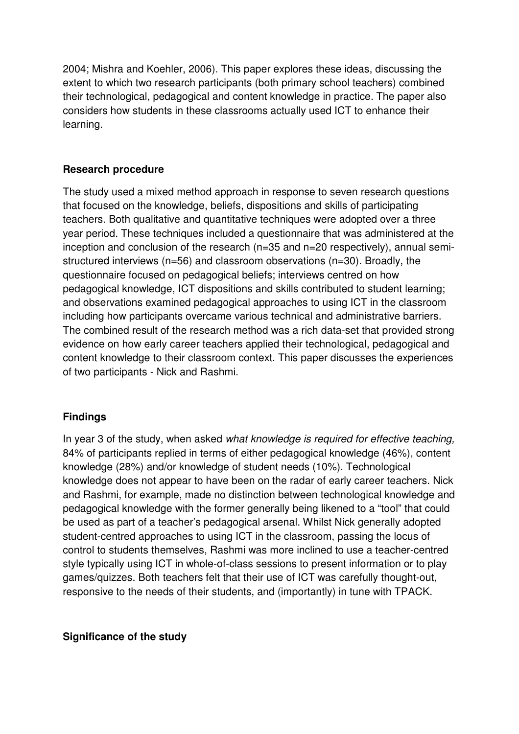2004; Mishra and Koehler, 2006). This paper explores these ideas, discussing the extent to which two research participants (both primary school teachers) combined their technological, pedagogical and content knowledge in practice. The paper also considers how students in these classrooms actually used ICT to enhance their learning.

### **Research procedure**

The study used a mixed method approach in response to seven research questions that focused on the knowledge, beliefs, dispositions and skills of participating teachers. Both qualitative and quantitative techniques were adopted over a three year period. These techniques included a questionnaire that was administered at the inception and conclusion of the research (n=35 and n=20 respectively), annual semistructured interviews (n=56) and classroom observations (n=30). Broadly, the questionnaire focused on pedagogical beliefs; interviews centred on how pedagogical knowledge, ICT dispositions and skills contributed to student learning; and observations examined pedagogical approaches to using ICT in the classroom including how participants overcame various technical and administrative barriers. The combined result of the research method was a rich data-set that provided strong evidence on how early career teachers applied their technological, pedagogical and content knowledge to their classroom context. This paper discusses the experiences of two participants - Nick and Rashmi.

### **Findings**

In year 3 of the study, when asked what knowledge is required for effective teaching, 84% of participants replied in terms of either pedagogical knowledge (46%), content knowledge (28%) and/or knowledge of student needs (10%). Technological knowledge does not appear to have been on the radar of early career teachers. Nick and Rashmi, for example, made no distinction between technological knowledge and pedagogical knowledge with the former generally being likened to a "tool" that could be used as part of a teacher's pedagogical arsenal. Whilst Nick generally adopted student-centred approaches to using ICT in the classroom, passing the locus of control to students themselves, Rashmi was more inclined to use a teacher-centred style typically using ICT in whole-of-class sessions to present information or to play games/quizzes. Both teachers felt that their use of ICT was carefully thought-out, responsive to the needs of their students, and (importantly) in tune with TPACK.

### **Significance of the study**